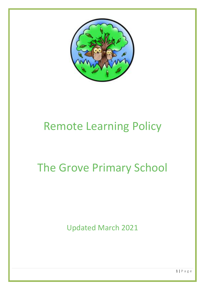

# Remote Learning Policy

# The Grove Primary School

Updated March 2021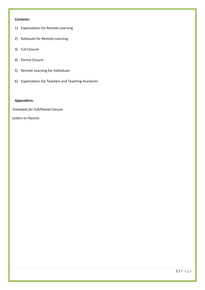## **Contents:**

- 1) Expectations for Remote Learning
- 2) Rationale for Remote Learning
- 3) Full Closure
- 4) Partial Closure
- 5) Remote Learning for Individuals
- 6) Expectations for Teachers and Teaching Assistants

## *Appendices:*

*Timetable for Full/Partial Closure*

*Letters to Parents*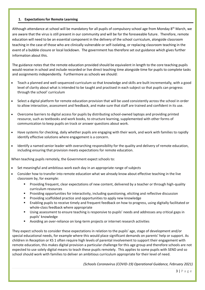## **1. Expectations for Remote Learning**

Although attendance at school will be mandatory for all pupils of compulsory school age from Monday 8<sup>th</sup> March, we are aware that the virus is still present in our community and will be for the foreseeable future. Therefore, remote education will need to be an essential component in the delivery of the school curriculum, alongside classroom teaching in the case of those who are clinically vulnerable or self-isolating, or replacing classroom teaching in the event of a bubble closure or local lockdown. The government has therefore set out guidance which gives further information about this.

The guidance notes that the remote education provided should be equivalent in length to the core teaching pupils would receive in school and include recorded or live direct teaching time alongside time for pupils to complete tasks and assignments independently. Furthermore as schools we should:

- Teach a planned and well-sequenced curriculum so that knowledge and skills are built incrementally, with a good level of clarity about what is intended to be taught and practised in each subject so that pupils can progress through the school' curriculum
- Select a digital platform for remote education provision that will be used consistently across the school in order to allow interaction, assessment and feedback, and make sure that staff are trained and confident in its use.
- Overcome barriers to digital access for pupils by distributing school-owned laptops and providing printed resource, such as textbooks and work books, to structure learning, supplemented with other forms of communication to keep pupils on track or answer questions about work.
- Have systems for checking, daily whether pupils are engaging with their work, and work with families to rapidly identify effective solutions where engagement is a concern.
- Identify a named senior leader with overarching responsibility for the quality and delivery of remote education, including ensuring that provision meets expectations for remote education.

When teaching pupils remotely, the Government expect schools to:

- Set meaningful and ambitious work each day in an appropriate range of subjects
- Consider how to transfer into remote education what we already know about effective teaching in the live classroom by, for example:
	- Providing frequent, clear expectations of new content, delivered by a teacher or through high-quality curriculum resources
	- Providing opportunities for interactivity, including questioning, eliciting and reflective discussion
	- Providing scaffolded practice and opportunities to apply new knowledge
	- Enabling pupils to receive timely and frequent feedback on how to progress, using digitally facilitated or whole-class feedback where appropriate
	- Using assessment to ensure teaching is responsive to pupils' needs and addresses any critical gaps in pupils' knowledge
	- Avoiding an over-reliance on long-term projects or internet research activities

They expect schools to consider these expectations in relation to the pupils' age, stage of development and/or special educational needs, for example where this would place significant demands on parents' help or support. As children in Reception or KS 1 often require high levels of parental involvement to support their engagement with remote education, this makes digital provision a particular challenge for this age group and therefore schools are not expected to use solely digital means to teach these pupils remotely. This applies to some pupils with SEND and so school should work with families to deliver an ambitious curriculum appropriate for their level of need.

*(Schools Coronavirus (COVID-19) Operational Guidance, February 2021)*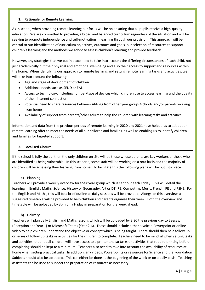## **2. Rationale for Remote Learning**

As in school, when providing remote learning our focus will be on ensuring that all pupils receive a high-quality education. We are committed to providing a broad and balanced curriculum regardless of the situation and will be seeking to promote independence and self-motivation in learning through our provision. This approach will be central to our identification of curriculum objectives, outcomes and goals, our selection of resources to support children's learning and the methods we adopt to assess children's learning and provide feedback.

However, any strategies that we put in place need to take into account the differing circumstances of each child, not just academically but their physical and emotional well-being and also their access to support and resources within the home. When identifying our approach to remote learning and setting remote learning tasks and activities, we will take into account the following:

- Age and stage of development of children
- Additional needs such as SEND or EAL
- Access to technology, including number/type of devices which children use to access learning and the quality of their internet connection
- Potential need to share resources between siblings from other year groups/schools and/or parents working from home
- Availability of support from parents/other adults to help the children with learning tasks and activities

Information and data from the previous periods of remote learning in 2020 and 2021 have helped us to adapt our remote learning offer to meet the needs of all our children and families, as well as enabling us to identify children and families for targeted support.

## **3. Localised Closure**

If the school is fully closed, then the only children on site will be those whose parents are key workers or those who are identified as being vulnerable. In this scenario, some staff will be working on a rota basis and the majority of children will be accessing their learning from home. To facilitate this the following plans will be put into place.

### a) Planning

Teachers will provide a weekly overview for their year group which is sent out each Friday. This will detail the learning in English, Maths, Science, History or Geography, Art or DT, RE, Computing, Music, French, PE and PSHE. For the English and Maths, this will be a brief outline as daily sessions will be provided. Alongside this overview, a suggested timetable will be provided to help children and parents organise their week. Both the overview and timetable will be uploaded by 3pm on a Friday in preparation for the week ahead.

### b) Delivery

Teachers will plan daily English and Maths lessons which will be uploaded by 3:30 the previous day to Seesaw (Reception and Year 1) or Microsoft Teams (Year 2-6). These should include either a voiced Powerpoint or online video to help children understand the objective or concept which is being taught. There should then be a follow up or series of follow up tasks or activities for the children to complete. Teachers need to be mindful when setting tasks and activities, that not all children will have access to a printer and so tasks or activities that require printing before completing should be kept to a minimum. Teachers also need to take into account the availability of resources at home when setting practical tasks. In addition, any videos, Powerpoints or resources for Science and the Foundation Subjects should also be uploaded. This can either be done at the beginning of the week or on a daily basis. Teaching assistants can be used to support the preparation of resources as necessary.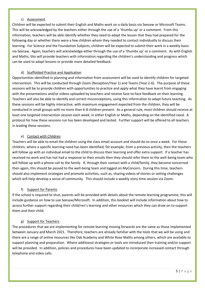## c) Assessment

Children will be expected to submit their English and Maths work on a daily basis via Seesaw or Microsoft Teams. This will be acknowledged by the teachers either through the use of a 'thumbs up' or a comment. From this information, teachers will be able identify whether they need to adapt the lesson that they had prepared for the following day or whether there were a few children whom they needed to contact individually to discuss their learning. For Science and the Foundation Subjects, children will be expected to submit their work in a weekly basis via Seesaw. Again, teachers will acknowledge either through the use of a 'thumbs up' or a comment. As with English and Maths, this will provide teachers with information regarding the children's understanding and progress which can be used to adapt lessons or provide more detailed feedback.

## d) Scaffolded Practice and Application

Opportunities identified in planning and information from assessment will be used to identify children for targeted intervention. This will be conducted through Zoom (Reception/Year 1) and Teams (Year 2-6). The purpose of these sessions will be to provide children with opportunities to practice and apply what they have learnt from engaging with the presentations and/or videos uploaded by teachers and receive face-to-face feedback on their learning. Teachers will also be able to identify and correct misconceptions, using this information to adapt future teaching. As these sessions will be highly interactive, with maximum engagement expected from the children, they will be conducted in small groups with no more than 6-8 children present. As a general rule, most children should receive at least one targeted intervention session each week, in either English or Maths, depending on the identified need. A protocol for how these sessions run has been developed and tested. Further support will be offered to all teachers in leading these sessions.

## e) Contact with Children

Teachers will be able to email the children using the class email account and should do so once a week. For those children, where a specific learning need has been identified, for example, from a previous activity, then the teachers will follow up with an individual email to the child to discuss their learning and offer extra support. If a teacher has received no work and has not had a response to their emails then they should refer them to the well-being team who will follow up with a phone call to the family. If, through their contact with a child/family, they become concerned then again, this should be passed to the well-being team and logged on MyConcern. During this time, teachers should also implement strategies and promote activities, such as, sharing videos of stories or setting challenges which will help develop a sense of community. This should include a weekly story time session via Zoom.

### f) Support for Parents

If the school is required to shut, parents will be provided with details about the remote learning programme, this will include guidance on how to use Seesaw/Microsoft. In addition, this booklet will include information about how to access further support regarding their child/ren's learning and other resources which they can draw on to support them and their child.

### g) Support for Teachers

The procedures that we are implementing for remote learning moving forwards are the same as those implemented between January and March 2021. Therefore, teachers are already familiar with the tools that we will be using and there are a range of online resources like Oak Academy and White Rose Maths among others, which are available to support planning and preparation. Where additional strategies or tools are introduced then training and/or support will be provided. In addition, policies and procedures have been updated to incorporate increased contact through telephone and video calls.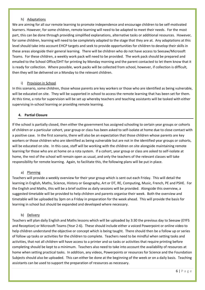## h) Adaptations

We are aiming for all our remote learning to promote independence and encourage children to be self-motivated learners. However, for some children, remote learning will need to be adapted to meet their needs. For the most part, this can be done through providing simplified explanations, alternative tasks or additional resources. However, for some children, learning will need to be completely adapted to the stage that they are at. Any adaptations at this level should take into account EHCP targets and seek to provide opportunities for children to develop their skills in these areas alongside their general learning. There will be children who do not have access to Seesaw/Microsoft Teams. For these children, a weekly work pack will need to be provided. The work pack should be prepared and emailed to the School Office/DHT for printing by Monday morning and the parent contacted to let them know that it is ready for collection. Where possible, work packs will be collected from school, however, if collection is difficult, then they will be delivered on a Monday to the relevant children.

## i) Provision in School

In this scenario, some children, those whose parents are key workers or those who are identified as being vulnerable, will be educated on site. They will be supported in school to access the remote learning that has been set for them. At this time, a rota for supervision will be set up whereby teachers and teaching assistants will be tasked with either supervising in-school learning or providing remote learning.

## **4. Partial Closure**

If the school is partially closed, then either the government has assigned schooling to certain year groups or cohorts of children or a particular cohort, year group or class has been asked to self-isolate at home due to close contact with a positive case. In the first scenario, there will also be an expectation that those children whose parents are key workers or those children who are identified as being vulnerable but are not in the identified year groups or cohorts, will be educated on site. In this case, staff will be working with the children on site alongside maintaining remote learning for those who are at home on a rota system. If a cohort, year group or class are asked to self-isolate at home, the rest of the school will remain open as usual, and only the teachers of the relevant classes will take responsibility for remote learning. Again, to facilitate this, the following plans will be put in place.

## a) Planning

Teachers will provide a weekly overview for their year group which is sent out each Friday. This will detail the learning in English, Maths, Science, History or Geography, Art or DT, RE, Computing, Music, French, PE and PSHE. For the English and Maths, this will be a brief outline as daily sessions will be provided. Alongside this overview, a suggested timetable will be provided to help children and parents organise their week. Both the overview and timetable will be uploaded by 3pm on a Friday in preparation for the week ahead. This will provide the basis for learning in school but should be expanded and developed where necessary.

### b) Delivery

Teachers will plan daily English and Maths lessons which will be uploaded by 3:30 the previous day to Seesaw (EYFS and Reception) or Microsoft Teams (Year 2-6). These should include either a voiced Powerpoint or online video to help children understand the objective or concept which is being taught. There should then be a follow up or series of follow up tasks or activities for the children to complete. Teachers need to be mindful when setting tasks and activities, that not all children will have access to a printer and so tasks or activities that require printing before completing should be kept to a minimum. Teachers also need to take into account the availability of resources at home when setting practical tasks. In addition, any videos, Powerpoints or resources for Science and the Foundation Subjects should also be uploaded. This can either be done at the beginning of the week or on a daily basis. Teaching assistants can be used to support the preparation of resources as necessary.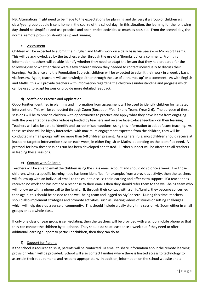NB: Alternations might need to be made to the expectations for planning and delivery if a group of children e.g. class/year group bubble is sent home in the course of the school day. In this situation, the learning for the following day should be simplified and use practical and open-ended activities as much as possible. From the second day, the normal remote provision should be up and running.

## c) Assessment

Children will be expected to submit their English and Maths work on a daily basis via Seesaw or Microsoft Teams. This will be acknowledged by the teachers either through the use of a 'thumbs up' or a comment. From this information, teachers will be able identify whether they need to adapt the lesson that they had prepared for the following day or whether there were a few children whom they needed to contact individually to discuss their learning. For Science and the Foundation Subjects, children will be expected to submit their work in a weekly basis via Seesaw. Again, teachers will acknowledge either through the use of a 'thumbs up' or a comment. As with English and Maths, this will provide teachers with information regarding the children's understanding and progress which can be used to adapt lessons or provide more detailed feedback.

## d) Scaffolded Practice and Application

Opportunities identified in planning and information from assessment will be used to identify children for targeted intervention. This will be conducted through Zoom (Reception/Year 1) and Teams (Year 2-6). The purpose of these sessions will be to provide children with opportunities to practice and apply what they have learnt from engaging with the presentations and/or videos uploaded by teachers and receive face-to-face feedback on their learning. Teachers will also be able to identify and correct misconceptions, using this information to adapt future teaching. As these sessions will be highly interactive, with maximum engagement expected from the children, they will be conducted in small groups with no more than 6-8 children present. As a general rule, most children should receive at least one targeted intervention session each week, in either English or Maths, depending on the identified need. A protocol for how these sessions run has been developed and tested. Further support will be offered to all teachers in leading these sessions.

## e) Contact with Children

Teachers will be able to email the children using the class email account and should do so once a week. For those children, where a specific learning need has been identified, for example, from a previous activity, then the teachers will follow up with an individual email to the child to discuss their learning and offer extra support. If a teacher has received no work and has not had a response to their emails then they should refer them to the well-being team who will follow up with a phone call to the family. If, through their contact with a child/family, they become concerned then again, this should be passed to the well-being team and logged on MyConcern. During this time, teachers should also implement strategies and promote activities, such as, sharing videos of stories or setting challenges which will help develop a sense of community. This should include a daily story time session via Zoom either in small groups or as a whole class.

If only one class or year group is self-isolating, then the teachers will be provided with a school mobile phone so that they can contact the children by telephone. They should do so at least once a week but if they need to offer additional learning support to particular children, then they can do so.

## f) Support for Parents

If the school is required to shut, parents will be contacted via email to share information about the remote learning provision which will be provided. School will also contact families where there is limited access to technology to ascertain their requirements and respond appropriately. In addition, information on the school website and a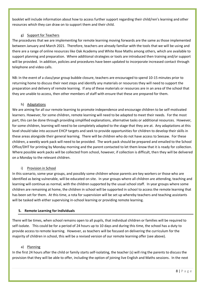booklet will include information about how to access further support regarding their child/ren's learning and other resources which they can draw on to support them and their child.

## g) Support for Teachers

The procedures that we are implementing for remote learning moving forwards are the same as those implemented between January and March 2021. Therefore, teachers are already familiar with the tools that we will be using and there are a range of online resources like Oak Academy and White Rose Maths among others, which are available to support planning and preparation. Where additional strategies or tools are introduced then training and/or support will be provided. In addition, policies and procedures have been updated to incorporate increased contact through telephone and video calls.

NB: In the event of a class/year group bubble closure, teachers are encouraged to spend 10-15 minutes prior to returning home to discuss their next steps and identify any materials or resources they will need to support the preparation and delivery of remote learning. If any of these materials or resources are in an area of the school that they are unable to access, then other members of staff with ensure that these are prepared for them.

## h) Adaptations

We are aiming for all our remote learning to promote independence and encourage children to be self-motivated learners. However, for some children, remote learning will need to be adapted to meet their needs. For the most part, this can be done through providing simplified explanations, alternative tasks or additional resources. However, for some children, learning will need to be completely adapted to the stage that they are at. Any adaptations at this level should take into account EHCP targets and seek to provide opportunities for children to develop their skills in these areas alongside their general learning. There will be children who do not have access to Seesaw. For these children, a weekly work pack will need to be provided. The work pack should be prepared and emailed to the School Office/DHT for printing by Monday morning and the parent contacted to let them know that it is ready for collection. Where possible work packs will be collected from school, however, if collection is difficult, then they will be delivered on a Monday to the relevant children.

### i) Provision in School

In this scenario, some year groups, and possibly some children whose parents are key workers or those who are identified as being vulnerable, will be educated on site. In year groups where all children are attending, teaching and learning will continue as normal, with the children supported by the usual school staff. In year groups where some children are remaining at home, the children in school will be supported in school to access the remote learning that has been set for them. At this time, a rota for supervision will be set up whereby teachers and teaching assistants will be tasked with either supervising in-school learning or providing remote learning.

## **5. Remote Learning for Individuals**

There will be times, when school remains open to all pupils, that individual children or families will be required to self-isolate. This could be for a period of 24 hours up to 10 days and during this time, the school has a duty to provide access to remote learning. However, as teachers will be focused on delivering the curriculum for the majority of children in school, this will be a revised version of our remote learning offer (see above).

## a) Planning

In the first 24 hours after the child or family starts self-isolating, the teacher (s) will ring the parents to discuss the provision that they will be able to offer, including the option of joining live English and Maths sessions. In the next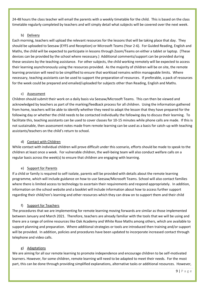24-48 hours the class teacher will email the parents with a weekly timetable for the child. This is based on the class timetable regularly completed by teachers and will simply detail what subjects will be covered over the next week.

## b) Delivery

Each morning, teachers will upload the relevant resources for the lessons that will be taking place that day. They should be uploaded to Seesaw (EYFS and Reception) or Microsoft Teams (Year 2-6). For Guided Reading, English and Maths, the child will be expected to participate in lessons through Zoom/Teams on either a tablet or laptop. (These devices can be provided by the school where necessary.) Additional comments/support can be provided during these sessions by the teaching assistance. For other subjects, the child working remotely will be expected to access their learning asynchronously using the resources provided. As the majority of children will be on site, the remote learning provision will need to be simplified to ensure that workload remains within manageable limits. Where necessary, teaching assistants can be used to support the preparation of resources. If preferable, a pack of resources for the week could be prepared and emailed/uploaded for subjects other than Reading, English and Maths.

## c) Assessment

Children should submit their work on a daily basis via Seesaw/Microsoft Teams. This can then be viewed and acknowledged by teachers as part of the marking/feedback process for all children. Using the information gathered from home, teachers will be able to identify whether they need to adapt the lesson that they have prepared for the following day or whether the child needs to be contacted individually the following day to discuss their learning. To facilitate this, teaching assistants can be used to cover classes for 10-15 minutes while phone calls are made. If this is not sustainable, then assessment notes made from remote learning can be used as a basis for catch-up with teaching assistants/teachers on the child's return to school.

## d) Contact with Children

While contact with individual children will prove difficult under this scenario, efforts should be made to speak to the children at least once a week. For vulnerable children, the well-being team will also conduct welfare calls on a regular basis across the week(s) to ensure that children are engaging with learning.

## e) Support for Parents

If a child or family is required to self-isolate, parents will be provided with details about the remote learning programme, which will include guidance on how to use Seesaw/Microsoft Teams. School will also contact families where there is limited access to technology to ascertain their requirements and respond appropriately. In addition, information on the school website and a booklet will include information about how to access further support regarding their child/ren's learning and other resources which they can draw on to support them and their child

## f) Support for Teachers

The procedures that we are implementing for remote learning moving forwards are similar as those implemented between January and March 2021. Therefore, teachers are already familiar with the tools that we will be using and there are a range of online resources like Oak Academy and White Rose Maths among others, which are available to support planning and preparation. Where additional strategies or tools are introduced then training and/or support will be provided. In addition, policies and procedures have been updated to incorporate increased contact through telephone and video calls.

## g) Adaptations

We are aiming for all our remote learning to promote independence and encourage children to be self-motivated learners. However, for some children, remote learning will need to be adapted to meet their needs. For the most part, this can be done through providing simplified explanations, alternative tasks or additional resources. However,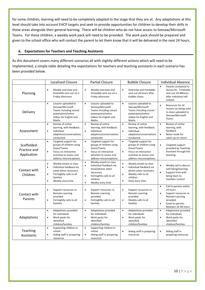for some children, learning will need to be completely adapted to the stage that they are at. Any adaptations at this level should take into account EHCP targets and seek to provide opportunities for children to develop their skills in these areas alongside their general learning. There will be children who do not have access to Seesaw/Microsoft Teams. For these children, a weekly work pack will need to be provided. The work pack should be prepared and given to the school office who will contact the parent to let them know that it will be delivered in the next 24 hours.

## **6. Expectations for Teachers and Teaching Assistants**

As this document covers many different scenarios all with slightly different actions which will need to be implemented, a simple table detailing the expectations for teachers and teaching assistants in each scenario has been provided below.

|                                           | <b>Localised Closure</b>                                                                                                                                                                   | <b>Partial Closure</b>                                                                                                                                                                              | <b>Bubble Closure</b>                                                                                                                                                                | <b>Individual Absence</b>                                                                                                                                                           |
|-------------------------------------------|--------------------------------------------------------------------------------------------------------------------------------------------------------------------------------------------|-----------------------------------------------------------------------------------------------------------------------------------------------------------------------------------------------------|--------------------------------------------------------------------------------------------------------------------------------------------------------------------------------------|-------------------------------------------------------------------------------------------------------------------------------------------------------------------------------------|
| Planning                                  | Weekly overview and<br>$\bullet$<br>timetable sent out on a<br>Friday afternoon                                                                                                            | $\bullet$<br>Weekly overview and<br>timetable sent out on a<br>Friday afternoon                                                                                                                     | $\bullet$<br>Overview and timetable<br>sent out 24 hours after<br>bubble closes                                                                                                      | Parents contacted to<br>$\bullet$<br>discuss RL. Timetable<br>sent out 24-48hours<br>after individual self-<br>isolates                                                             |
| Delivery                                  | Lessons uploaded to<br>$\bullet$<br>Seesaw/Microsoft<br>Teams including voiced<br>powerpoint/online<br>videos for English and<br>Maths                                                     | $\bullet$<br>Lessons uploaded to<br>Seesaw/Microsoft<br>Teams including voiced<br>powerpoint/online<br>videos for English and<br>Maths                                                              | Lessons uploaded to<br>$\bullet$<br>Seesaw/Microsoft<br>Teams including voiced<br>powerpoint/online<br>videos for English and<br>Maths                                               | Resources for all<br>$\bullet$<br>lessons (as being used<br>in class) uploaded to<br>Seesaw/Microsoft<br>Teams                                                                      |
| Assessment                                | Review of online<br>$\bullet$<br>learning, with feedback.<br>Individual<br>$\bullet$<br>adaptions/conversations<br>conducted                                                               | Review of online<br>$\bullet$<br>learning, with feedback.<br>Individual<br>$\bullet$<br>adaptions/conversations<br>conducted                                                                        | Review of online<br>$\bullet$<br>learning, with feedback.<br>$\bullet$<br>Individual<br>adaptions/conversations<br>conducted                                                         | Review of online<br>$\bullet$<br>learning, with<br>feedback<br>$\bullet$<br>Notes made for<br>catch-up on return                                                                    |
| Scaffolded<br>Practice and<br>Application | Targeted support for<br>$\bullet$<br>groups of children using<br>Zoom/Teams<br>$\bullet$<br>Focus on interactive<br>activities to assess and<br>address misconceptions.                    | Targeted support for<br>$\bullet$<br>groups of children using<br>Zoom/Teams<br>$\bullet$<br>Focus on interactive<br>activities to assess and<br>address misconceptions.                             | $\bullet$<br>Targeted support for<br>groups of children using<br>Zoom/Teams<br>$\bullet$<br>Focus on interactive<br>activities to assess and<br>address misconceptions.              | $\bullet$<br>Targeted support<br>provided by Teaching<br>Assistant through live<br>teaching.                                                                                        |
| Contact with<br>Children                  | Weekly emails to class<br>$\bullet$<br>Individual feedback via<br>$\bullet$<br>email when necessary<br>Fortnightly calls to all<br>$\bullet$<br>families<br>Weekly story time<br>$\bullet$ | $\bullet$<br>Weekly emails to class<br>Individual feedback via<br>$\bullet$<br>email/phone when<br>necessary<br>Fortnightly calls to all<br>$\bullet$<br>children<br>Weekly story time<br>$\bullet$ | $\bullet$<br>Weekly emails to class<br>Individual feedback via<br>$\bullet$<br>phone when necessary<br>Weekly calls to all<br>$\bullet$<br>children<br>$\bullet$<br>Daily story time | Weekly call to discuss<br>$\bullet$<br>well-being/learning<br>Support from well-<br>$\bullet$<br>being team to<br>maintain contact                                                  |
| Contact with<br>Parents                   | Support resources re.<br>$\bullet$<br><b>Remote Learning</b><br>provided<br>Fortnightly calls to all<br>$\bullet$<br>families                                                              | $\bullet$<br>Support resources re.<br><b>Remote Learning</b><br>provided<br>Fortnightly calls to all<br>$\bullet$<br>families                                                                       | $\bullet$<br>Support resources re.<br><b>Remote Learning</b><br>provided<br>Weekly calls to all<br>$\bullet$<br>families                                                             | Call to parents within<br>$\bullet$<br>24 hours<br>Support resources re.<br>$\bullet$<br><b>Remote Learning</b><br>provided<br>Email to parents<br>$\bullet$<br>between 24-48 hours |
| Adaptations                               | Adaptations provided<br>$\bullet$<br>for individuals<br>Work packs for<br>$\bullet$<br>identified<br>children/families                                                                     | Adaptations provided<br>$\bullet$<br>for individuals<br>Work packs for<br>$\bullet$<br>identified<br>children/families                                                                              | Adaptations provided<br>$\bullet$<br>for individuals<br>Work packs for<br>$\bullet$<br>identified<br>children/families                                                               | Adaptations provided<br>$\bullet$<br>for individuals<br>Work packs for<br>$\bullet$<br>identified<br>children/families                                                              |
| Teaching<br>Assistants                    | Supporting children in<br>$\bullet$<br>school<br>Aiding staff in preparing<br>$\bullet$<br>resources                                                                                       | Supporting children in<br>$\bullet$<br>school<br>Aiding staff in preparing<br>$\bullet$<br>resources                                                                                                | $\bullet$<br>Aiding staff in preparing<br>resources                                                                                                                                  | Aiding staff in<br>$\bullet$<br>preparing resources                                                                                                                                 |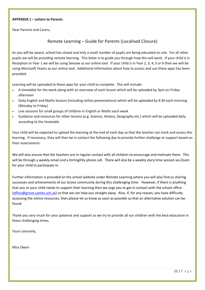#### **APPENDIX 1 – Letters to Parents**

Dear Parents and Carers,

## Remote Learning – Guide for Parents (Localised Closure)

As you will be aware, school has closed and only a small number of pupils are being educated on site. For all other pupils we will be providing remote learning. This letter is to guide you through how this will work. If your child is in Reception or Year 1 we will be using Seesaw as our online tool. If your child is in Year 2, 3, 4, 5 or 6 then we will be using Microsoft Teams as our online tool. Additional information about how to access and use these apps has been provided.

Learning will be uploaded to these apps for your child to complete. This will include:

- A timetable for the week along with an overview of each lesson which will be uploaded by 3pm on Friday afternoon
- Daily English and Maths lessons (including online presentations) which will be uploaded by 8:30 each morning (Monday to Friday)
- Live sessions for small groups of children in English or Maths each week
- Guidance and resources for other lessons (e.g. Science, History, Geography etc.) which will be uploaded daily according to the timetable

Your child will be expected to upload the learning at the end of each day so that the teacher can mark and assess this learning. If necessary, they will then be in contact the following day to provide further challenge or support based on their assessments.

We will also ensure that the teachers are in regular contact with all children to encourage and motivate them. This will be through a weekly email and a fortnightly phone call. There will also be a weekly story time session via Zoom for your child to participate in.

Further information is provided on the school website under Remote Learning where you will also find us sharing successes and achievements of our Grove community during this challenging time. However, if there is anything that you or your child needs to support their learning then we urge you to get in contact with the school office [\(office@grove.cambs.sch.uk\)](mailto:office@grove.cambs.sch.uk) so that we can help you straight away. Also, if, for any reason, you have difficulty accessing the online resources, then please let us know as soon as possible so that an alternative solution can be found.

Thank you very much for your patience and support as we try to provide all our children with the best education in these challenging times.

Yours sincerely,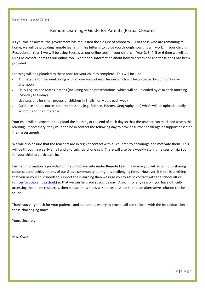# Remote Learning – Guide for Parents (Partial Closure)

As you will be aware, the government has requested the closure of school to…. For those who are remaining at home, we will be providing remote learning. This letter is to guide you through how this will work. If your child is in Reception or Year 1 we will be using Seesaw as our online tool. If your child is in Year 2, 3, 4, 5 or 6 then we will be using Microsoft Teams as our online tool. Additional information about how to access and use these apps has been provided.

Learning will be uploaded to these apps for your child to complete. This will include:

- A timetable for the week along with an overview of each lesson which will be uploaded by 3pm on Friday afternoon
- Daily English and Maths lessons (including online presentations) which will be uploaded by 8:30 each morning (Monday to Friday)
- Live sessions for small groups of children in English or Maths each week
- Guidance and resources for other lessons (e.g. Science, History, Geography etc.) which will be uploaded daily according to the timetable

Your child will be expected to upload the learning at the end of each day so that the teacher can mark and assess this learning. If necessary, they will then be in contact the following day to provide further challenge or support based on their assessments.

We will also ensure that the teachers are in regular contact with all children to encourage and motivate them. This will be through a weekly email and a fortnightly phone call. There will also be a weekly story time session via Zoom for your child to participate in.

Further information is provided on the school website under Remote Learning where you will also find us sharing successes and achievements of our Grove community during this challenging time. However, if there is anything that you or your child needs to support their learning then we urge you to get in contact with the school office [\(office@grove.cambs.sch.uk\)](mailto:office@grove.cambs.sch.uk) so that we can help you straight away. Also, if, for any reason, you have difficulty accessing the online resources, then please let us know as soon as possible so that an alternative solution can be found.

Thank you very much for your patience and support as we try to provide all our children with the best education in these challenging times.

Yours sincerely,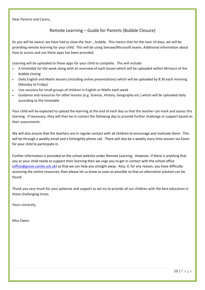#### Dear Parents and Carers,

# Remote Learning – Guide for Parents (Bubble Closure)

As you will be aware, we have had to close the Year….bubble. This means that for the next 10 days, we will be providing remote learning for your child. This will be using Seesaw/Microsoft teams. Additional information about how to access and use these apps has been provided.

Learning will be uploaded to these apps for your child to complete. This will include:

- A timetable for the week along with an overview of each lesson which will be uploaded within 48 hours of the bubble closing
- Daily English and Maths lessons (including online presentations) which will be uploaded by 8:30 each morning (Monday to Friday)
- Live sessions for small groups of children in English or Maths each week
- Guidance and resources for other lessons (e.g. Science, History, Geography etc.) which will be uploaded daily according to the timetable

Your child will be expected to upload the learning at the end of each day so that the teacher can mark and assess this learning. If necessary, they will then be in contact the following day to provide further challenge or support based on their assessments.

We will also ensure that the teachers are in regular contact with all children to encourage and motivate them. This will be through a weekly email and a fortnightly phone call. There will also be a weekly story time session via Zoom for your child to participate in.

Further information is provided on the school website under Remote Learning. However, if there is anything that you or your child needs to support their learning then we urge you to get in contact with the school office [\(office@grove.cambs.sch.uk\)](mailto:office@grove.cambs.sch.uk) so that we can help you straight away. Also, if, for any reason, you have difficulty accessing the online resources, then please let us know as soon as possible so that an alternative solution can be found.

Thank you very much for your patience and support as we try to provide all our children with the best education in these challenging times.

Yours sincerely,